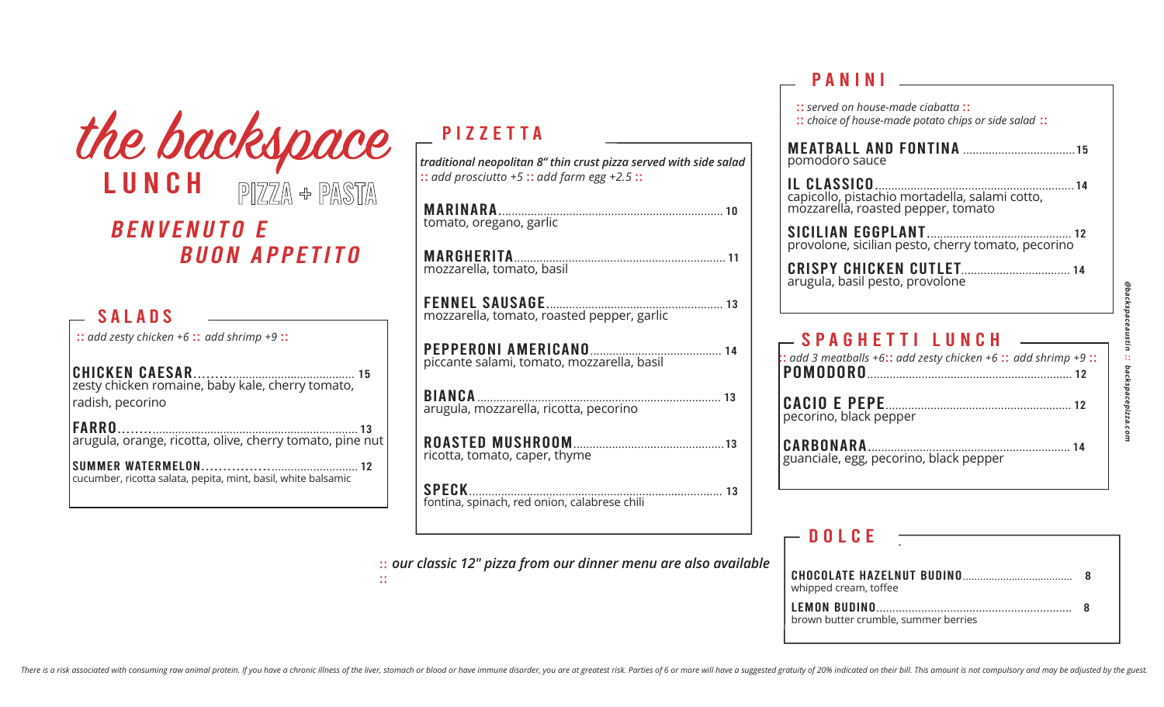| the backspace                                                                                     |
|---------------------------------------------------------------------------------------------------|
| LUNCH<br>PIZZA + PASTA                                                                            |
| <i>BENVENUTO E</i>                                                                                |
| <b>BUON APPETITO</b>                                                                              |
| <b>SALADS</b>                                                                                     |
| :: add zesty chicken +6 :: add shrimp +9 ::<br><b>CHICKEN CAESAR</b>                              |
| zesty chicken romaine, baby kale, cherry tomato,<br>radish, pecorino                              |
| <b>FARRO</b><br>arugula, orange, ricotta, olive, cherry tomato, pine nut                          |
| <b>SUMMER WATERMELON</b><br>. 12<br>cucumber, ricotta salata, pepita, mint, basil, white balsamic |

## PIZZETTA

*traditional neopolitan 8" thin crust pizza served with side salad* :: *add prosciutto +5* :: *add farm egg +2.5* ::

| mozzarella, tomato, roasted pepper, garlic   |
|----------------------------------------------|
|                                              |
| arugula, mozzarella, ricotta, pecorino       |
| ricotta, tomato, caper, thyme                |
| fontina, spinach, red onion, calabrese chili |

:: *our classic 12" pizza from our dinner menu are also available* 

::

#### panini

#### $-$  DOLCE

| whipped cream, toffee                |  |
|--------------------------------------|--|
| brown butter crumble, summer berries |  |